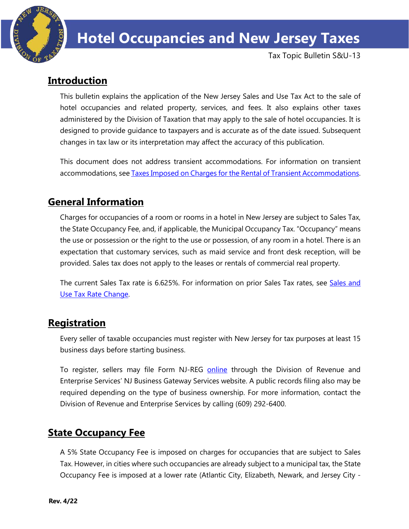

Tax Topic Bulletin S&U-13

# **Introduction**

This bulletin explains the application of the New Jersey Sales and Use Tax Act to the sale of hotel occupancies and related property, services, and fees. It also explains other taxes administered by the Division of Taxation that may apply to the sale of hotel occupancies. It is designed to provide guidance to taxpayers and is accurate as of the date issued. Subsequent changes in tax law or its interpretation may affect the accuracy of this publication.

This document does not address transient accommodations. For information on transient accommodations, see [Taxes Imposed on Charges for the Rental of Transient Accommodations.](https://www.state.nj.us/treasury/taxation/pdf/TB-81R.pdf) 

# **General Information**

Charges for occupancies of a room or rooms in a hotel in New Jersey are subject to Sales Tax, the State Occupancy Fee, and, if applicable, the Municipal Occupancy Tax. "Occupancy" means the use or possession or the right to the use or possession, of any room in a hotel. There is an expectation that customary services, such as maid service and front desk reception, will be provided. Sales tax does not apply to the leases or rentals of commercial real property.

The current Sales Tax rate is 6.625%. For information on prior Sales Tax rates, see Sales and [Use Tax Rate Change.](https://www.state.nj.us/treasury/taxation/ratechange/su-overview.shtml)

## **Registration**

Every seller of taxable occupancies must register with New Jersey for tax purposes at least 15 business days before starting business.

To register, sellers may file Form NJ-REG [online](http://www.state.nj.us/treasury/revenue/gettingregistered.shtml) through the Division of Revenue and Enterprise Services' NJ Business Gateway Services website. A public records filing also may be required depending on the type of business ownership. For more information, contact the Division of Revenue and Enterprise Services by calling (609) 292-6400.

# **State Occupancy Fee**

A 5% State Occupancy Fee is imposed on charges for occupancies that are subject to Sales Tax. However, in cities where such occupancies are already subject to a municipal tax, the State Occupancy Fee is imposed at a lower rate (Atlantic City, Elizabeth, Newark, and Jersey City -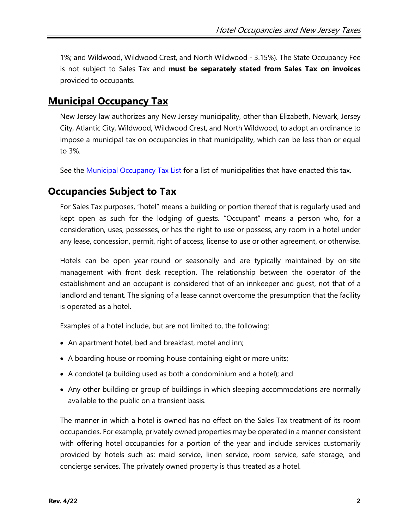1%; and Wildwood, Wildwood Crest, and North Wildwood - 3.15%). The State Occupancy Fee is not subject to Sales Tax and **must be separately stated from Sales Tax on invoices** provided to occupants.

## **Municipal Occupancy Tax**

New Jersey law authorizes any New Jersey municipality, other than Elizabeth, Newark, Jersey City, Atlantic City, Wildwood, Wildwood Crest, and North Wildwood, to adopt an ordinance to impose a municipal tax on occupancies in that municipality, which can be less than or equal to 3%.

See the [Municipal Occupancy Tax List](https://www.state.nj.us/treasury/taxation/pdf/munitaxlist.pdf) for a list of municipalities that have enacted this tax.

## **Occupancies Subject to Tax**

For Sales Tax purposes, "hotel" means a building or portion thereof that is regularly used and kept open as such for the lodging of guests. "Occupant" means a person who, for a consideration, uses, possesses, or has the right to use or possess, any room in a hotel under any lease, concession, permit, right of access, license to use or other agreement, or otherwise.

Hotels can be open year-round or seasonally and are typically maintained by on-site management with front desk reception. The relationship between the operator of the establishment and an occupant is considered that of an innkeeper and guest, not that of a landlord and tenant. The signing of a lease cannot overcome the presumption that the facility is operated as a hotel.

Examples of a hotel include, but are not limited to, the following:

- An apartment hotel, bed and breakfast, motel and inn;
- A boarding house or rooming house containing eight or more units;
- A condotel (a building used as both a condominium and a hotel); and
- Any other building or group of buildings in which sleeping accommodations are normally available to the public on a transient basis.

The manner in which a hotel is owned has no effect on the Sales Tax treatment of its room occupancies. For example, privately owned properties may be operated in a manner consistent with offering hotel occupancies for a portion of the year and include services customarily provided by hotels such as: maid service, linen service, room service, safe storage, and concierge services. The privately owned property is thus treated as a hotel.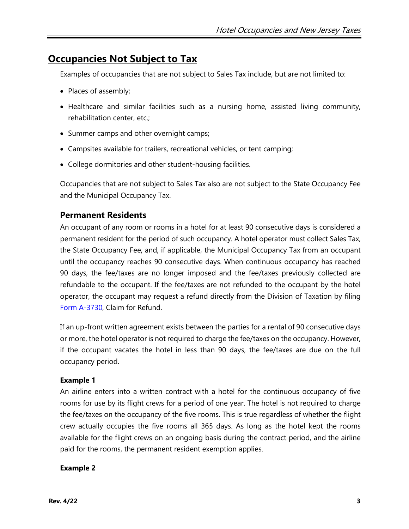## **Occupancies Not Subject to Tax**

Examples of occupancies that are not subject to Sales Tax include, but are not limited to:

- Places of assembly;
- Healthcare and similar facilities such as a nursing home, assisted living community, rehabilitation center, etc.;
- Summer camps and other overnight camps;
- Campsites available for trailers, recreational vehicles, or tent camping;
- College dormitories and other student-housing facilities.

Occupancies that are not subject to Sales Tax also are not subject to the State Occupancy Fee and the Municipal Occupancy Tax.

### **Permanent Residents**

An occupant of any room or rooms in a hotel for at least 90 consecutive days is considered a permanent resident for the period of such occupancy. A hotel operator must collect Sales Tax, the State Occupancy Fee, and, if applicable, the Municipal Occupancy Tax from an occupant until the occupancy reaches 90 consecutive days. When continuous occupancy has reached 90 days, the fee/taxes are no longer imposed and the fee/taxes previously collected are refundable to the occupant. If the fee/taxes are not refunded to the occupant by the hotel operator, the occupant may request a refund directly from the Division of Taxation by filing [Form A-3730,](http://www.state.nj.us/treasury/taxation/pdf/other_forms/sales/a3730.pdf) Claim for Refund.

If an up-front written agreement exists between the parties for a rental of 90 consecutive days or more, the hotel operator is not required to charge the fee/taxes on the occupancy. However, if the occupant vacates the hotel in less than 90 days, the fee/taxes are due on the full occupancy period.

#### **Example 1**

An airline enters into a written contract with a hotel for the continuous occupancy of five rooms for use by its flight crews for a period of one year. The hotel is not required to charge the fee/taxes on the occupancy of the five rooms. This is true regardless of whether the flight crew actually occupies the five rooms all 365 days. As long as the hotel kept the rooms available for the flight crews on an ongoing basis during the contract period, and the airline paid for the rooms, the permanent resident exemption applies.

#### **Example 2**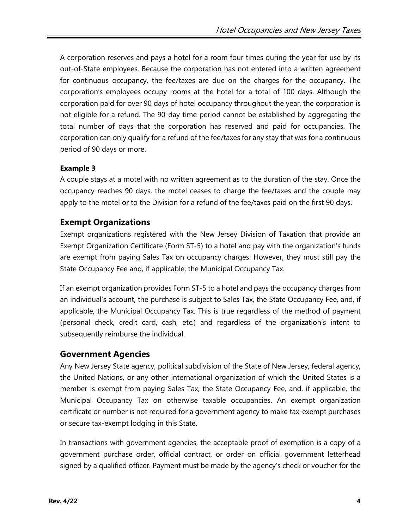A corporation reserves and pays a hotel for a room four times during the year for use by its out-of-State employees. Because the corporation has not entered into a written agreement for continuous occupancy, the fee/taxes are due on the charges for the occupancy. The corporation's employees occupy rooms at the hotel for a total of 100 days. Although the corporation paid for over 90 days of hotel occupancy throughout the year, the corporation is not eligible for a refund. The 90-day time period cannot be established by aggregating the total number of days that the corporation has reserved and paid for occupancies. The corporation can only qualify for a refund of the fee/taxes for any stay that was for a continuous period of 90 days or more.

#### **Example 3**

A couple stays at a motel with no written agreement as to the duration of the stay. Once the occupancy reaches 90 days, the motel ceases to charge the fee/taxes and the couple may apply to the motel or to the Division for a refund of the fee/taxes paid on the first 90 days.

#### **Exempt Organizations**

Exempt organizations registered with the New Jersey Division of Taxation that provide an Exempt Organization Certificate (Form ST-5) to a hotel and pay with the organization's funds are exempt from paying Sales Tax on occupancy charges. However, they must still pay the State Occupancy Fee and, if applicable, the Municipal Occupancy Tax.

If an exempt organization provides Form ST-5 to a hotel and pays the occupancy charges from an individual's account, the purchase is subject to Sales Tax, the State Occupancy Fee, and, if applicable, the Municipal Occupancy Tax. This is true regardless of the method of payment (personal check, credit card, cash, etc.) and regardless of the organization's intent to subsequently reimburse the individual.

#### **Government Agencies**

Any New Jersey State agency, political subdivision of the State of New Jersey, federal agency, the United Nations, or any other international organization of which the United States is a member is exempt from paying Sales Tax, the State Occupancy Fee, and, if applicable, the Municipal Occupancy Tax on otherwise taxable occupancies. An exempt organization certificate or number is not required for a government agency to make tax-exempt purchases or secure tax-exempt lodging in this State.

In transactions with government agencies, the acceptable proof of exemption is a copy of a government purchase order, official contract, or order on official government letterhead signed by a qualified officer. Payment must be made by the agency's check or voucher for the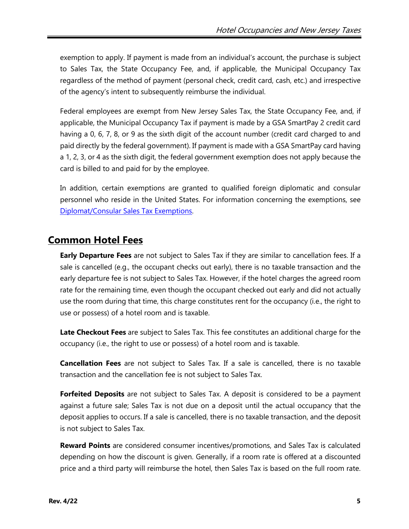exemption to apply. If payment is made from an individual's account, the purchase is subject to Sales Tax, the State Occupancy Fee, and, if applicable, the Municipal Occupancy Tax regardless of the method of payment (personal check, credit card, cash, etc.) and irrespective of the agency's intent to subsequently reimburse the individual.

Federal employees are exempt from New Jersey Sales Tax, the State Occupancy Fee, and, if applicable, the Municipal Occupancy Tax if payment is made by a GSA SmartPay 2 credit card having a 0, 6, 7, 8, or 9 as the sixth digit of the account number (credit card charged to and paid directly by the federal government). If payment is made with a GSA SmartPay card having a 1, 2, 3, or 4 as the sixth digit, the federal government exemption does not apply because the card is billed to and paid for by the employee.

In addition, certain exemptions are granted to qualified foreign diplomatic and consular personnel who reside in the United States. For information concerning the exemptions, see Diplomat/Consular [Sales Tax Exemptions.](http://www.state.nj.us/treasury/taxation/pdf/pubs/tb/tb53.pdf)

## **Common Hotel Fees**

**Early Departure Fees** are not subject to Sales Tax if they are similar to cancellation fees. If a sale is cancelled (e.g., the occupant checks out early), there is no taxable transaction and the early departure fee is not subject to Sales Tax. However, if the hotel charges the agreed room rate for the remaining time, even though the occupant checked out early and did not actually use the room during that time, this charge constitutes rent for the occupancy (i.e., the right to use or possess) of a hotel room and is taxable.

**Late Checkout Fees** are subject to Sales Tax. This fee constitutes an additional charge for the occupancy (i.e., the right to use or possess) of a hotel room and is taxable.

**Cancellation Fees** are not subject to Sales Tax. If a sale is cancelled, there is no taxable transaction and the cancellation fee is not subject to Sales Tax.

**Forfeited Deposits** are not subject to Sales Tax. A deposit is considered to be a payment against a future sale; Sales Tax is not due on a deposit until the actual occupancy that the deposit applies to occurs. If a sale is cancelled, there is no taxable transaction, and the deposit is not subject to Sales Tax.

**Reward Points** are considered consumer incentives/promotions, and Sales Tax is calculated depending on how the discount is given. Generally, if a room rate is offered at a discounted price and a third party will reimburse the hotel, then Sales Tax is based on the full room rate.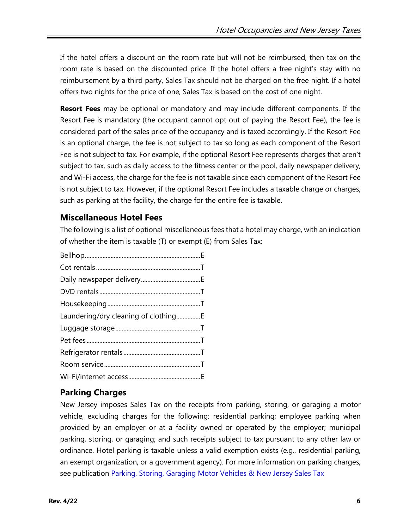If the hotel offers a discount on the room rate but will not be reimbursed, then tax on the room rate is based on the discounted price. If the hotel offers a free night's stay with no reimbursement by a third party, Sales Tax should not be charged on the free night. If a hotel offers two nights for the price of one, Sales Tax is based on the cost of one night.

**Resort Fees** may be optional or mandatory and may include different components. If the Resort Fee is mandatory (the occupant cannot opt out of paying the Resort Fee), the fee is considered part of the sales price of the occupancy and is taxed accordingly. If the Resort Fee is an optional charge, the fee is not subject to tax so long as each component of the Resort Fee is not subject to tax. For example, if the optional Resort Fee represents charges that aren't subject to tax, such as daily access to the fitness center or the pool, daily newspaper delivery, and Wi-Fi access, the charge for the fee is not taxable since each component of the Resort Fee is not subject to tax. However, if the optional Resort Fee includes a taxable charge or charges, such as parking at the facility, the charge for the entire fee is taxable.

### **Miscellaneous Hotel Fees**

The following is a list of optional miscellaneous fees that a hotel may charge, with an indication of whether the item is taxable (T) or exempt (E) from Sales Tax:

| Laundering/dry cleaning of clothingE |  |
|--------------------------------------|--|
|                                      |  |
|                                      |  |
|                                      |  |
|                                      |  |
|                                      |  |

### **Parking Charges**

New Jersey imposes Sales Tax on the receipts from parking, storing, or garaging a motor vehicle, excluding charges for the following: residential parking; employee parking when provided by an employer or at a facility owned or operated by the employer; municipal parking, storing, or garaging; and such receipts subject to tax pursuant to any other law or ordinance. Hotel parking is taxable unless a valid exemption exists (e.g., residential parking, an exempt organization, or a government agency). For more information on parking charges, see publication [Parking, Storing, Garaging Motor Vehicles & New Jersey Sales Tax](http://www.state.nj.us/treasury/taxation/pdf/pubs/sales/anj23.pdf)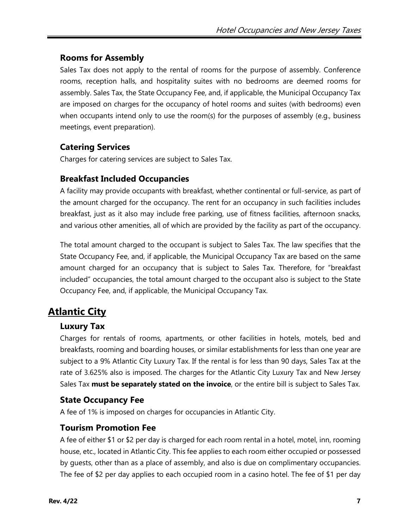### **Rooms for Assembly**

Sales Tax does not apply to the rental of rooms for the purpose of assembly. Conference rooms, reception halls, and hospitality suites with no bedrooms are deemed rooms for assembly. Sales Tax, the State Occupancy Fee, and, if applicable, the Municipal Occupancy Tax are imposed on charges for the occupancy of hotel rooms and suites (with bedrooms) even when occupants intend only to use the room(s) for the purposes of assembly (e.g., business meetings, event preparation).

### **Catering Services**

Charges for catering services are subject to Sales Tax.

### **Breakfast Included Occupancies**

A facility may provide occupants with breakfast, whether continental or full-service, as part of the amount charged for the occupancy. The rent for an occupancy in such facilities includes breakfast, just as it also may include free parking, use of fitness facilities, afternoon snacks, and various other amenities, all of which are provided by the facility as part of the occupancy.

The total amount charged to the occupant is subject to Sales Tax. The law specifies that the State Occupancy Fee, and, if applicable, the Municipal Occupancy Tax are based on the same amount charged for an occupancy that is subject to Sales Tax. Therefore, for "breakfast included" occupancies, the total amount charged to the occupant also is subject to the State Occupancy Fee, and, if applicable, the Municipal Occupancy Tax.

# **Atlantic City**

### **Luxury Tax**

Charges for rentals of rooms, apartments, or other facilities in hotels, motels, bed and breakfasts, rooming and boarding houses, or similar establishments for less than one year are subject to a 9% Atlantic City Luxury Tax. If the rental is for less than 90 days, Sales Tax at the rate of 3.625% also is imposed. The charges for the Atlantic City Luxury Tax and New Jersey Sales Tax **must be separately stated on the invoice**, or the entire bill is subject to Sales Tax.

### **State Occupancy Fee**

A fee of 1% is imposed on charges for occupancies in Atlantic City.

### **Tourism Promotion Fee**

A fee of either \$1 or \$2 per day is charged for each room rental in a hotel, motel, inn, rooming house, etc., located in Atlantic City. This fee applies to each room either occupied or possessed by guests, other than as a place of assembly, and also is due on complimentary occupancies. The fee of \$2 per day applies to each occupied room in a casino hotel. The fee of \$1 per day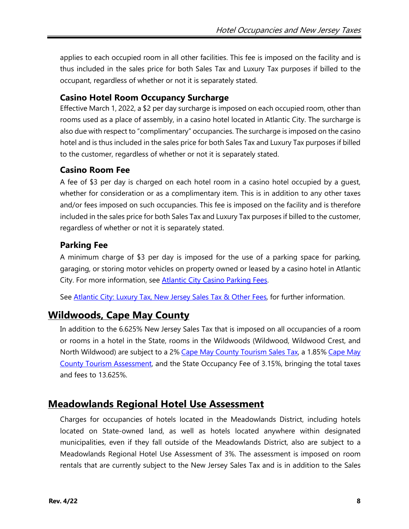applies to each occupied room in all other facilities. This fee is imposed on the facility and is thus included in the sales price for both Sales Tax and Luxury Tax purposes if billed to the occupant, regardless of whether or not it is separately stated.

#### **Casino Hotel Room Occupancy Surcharge**

Effective March 1, 2022, a \$2 per day surcharge is imposed on each occupied room, other than rooms used as a place of assembly, in a casino hotel located in Atlantic City. The surcharge is also due with respect to "complimentary" occupancies. The surcharge is imposed on the casino hotel and is thus included in the sales price for both Sales Tax and Luxury Tax purposes if billed to the customer, regardless of whether or not it is separately stated.

#### **Casino Room Fee**

A fee of \$3 per day is charged on each hotel room in a casino hotel occupied by a guest, whether for consideration or as a complimentary item. This is in addition to any other taxes and/or fees imposed on such occupancies. This fee is imposed on the facility and is therefore included in the sales price for both Sales Tax and Luxury Tax purposes if billed to the customer, regardless of whether or not it is separately stated.

### **Parking Fee**

A minimum charge of \$3 per day is imposed for the use of a parking space for parking, garaging, or storing motor vehicles on property owned or leased by a casino hotel in Atlantic City. For more information, see [Atlantic City Casino Parking Fees](http://www.state.nj.us/treasury/taxation/pdf/pubs/tb/tb22r.pdf).

See Atlantic City: Luxury [Tax, New Jersey Sales Tax & Other Fees,](http://www.state.nj.us/treasury/taxation/pdf/pubs/sales/anj17.pdf) for further information.

# **Wildwoods, Cape May County**

In addition to the 6.625% New Jersey Sales Tax that is imposed on all occupancies of a room or rooms in a hotel in the State, rooms in the Wildwoods (Wildwood, Wildwood Crest, and North Wildwood) are subject to a 2% [Cape May County](http://www.state.nj.us/treasury/taxation/pdf/pubs/tb/tb23.pdf) Tourism Sales Tax, a 1.85% Cape May County [Tourism Assessment,](http://www.state.nj.us/treasury/taxation/cmtourism.shtml) and the State Occupancy Fee of 3.15%, bringing the total taxes and fees to 13.625%.

### **Meadowlands Regional Hotel Use Assessment**

Charges for occupancies of hotels located in the Meadowlands District, including hotels located on State-owned land, as well as hotels located anywhere within designated municipalities, even if they fall outside of the Meadowlands District, also are subject to a Meadowlands Regional Hotel Use Assessment of 3%. The assessment is imposed on room rentals that are currently subject to the New Jersey Sales Tax and is in addition to the Sales